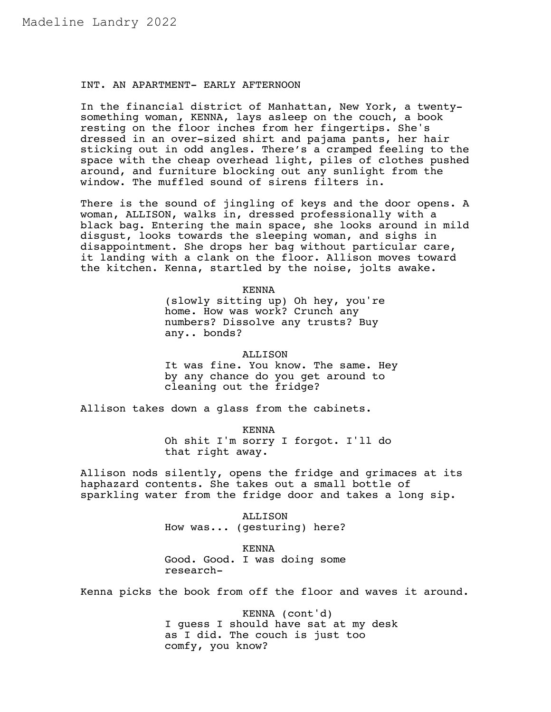## INT. AN APARTMENT- EARLY AFTERNOON

In the financial district of Manhattan, New York, a twentysomething woman, KENNA, lays asleep on the couch, a book resting on the floor inches from her fingertips. She's dressed in an over-sized shirt and pajama pants, her hair sticking out in odd angles. There's a cramped feeling to the space with the cheap overhead light, piles of clothes pushed around, and furniture blocking out any sunlight from the window. The muffled sound of sirens filters in.

There is the sound of jingling of keys and the door opens. A woman, ALLISON, walks in, dressed professionally with a black bag. Entering the main space, she looks around in mild disgust, looks towards the sleeping woman, and sighs in disappointment. She drops her bag without particular care, it landing with a clank on the floor. Allison moves toward the kitchen. Kenna, startled by the noise, jolts awake.

KENNA

(slowly sitting up) Oh hey, you're home. How was work? Crunch any numbers? Dissolve any trusts? Buy any.. bonds?

ALLISON

It was fine. You know. The same. Hey by any chance do you get around to cleaning out the fridge?

Allison takes down a glass from the cabinets.

KENNA

Oh shit I'm sorry I forgot. I'll do that right away.

Allison nods silently, opens the fridge and grimaces at its haphazard contents. She takes out a small bottle of sparkling water from the fridge door and takes a long sip.

> ALLISON How was... (gesturing) here?

> KENNA Good. Good. I was doing some research-

Kenna picks the book from off the floor and waves it around.

KENNA (cont'd) I guess I should have sat at my desk as I did. The couch is just too comfy, you know?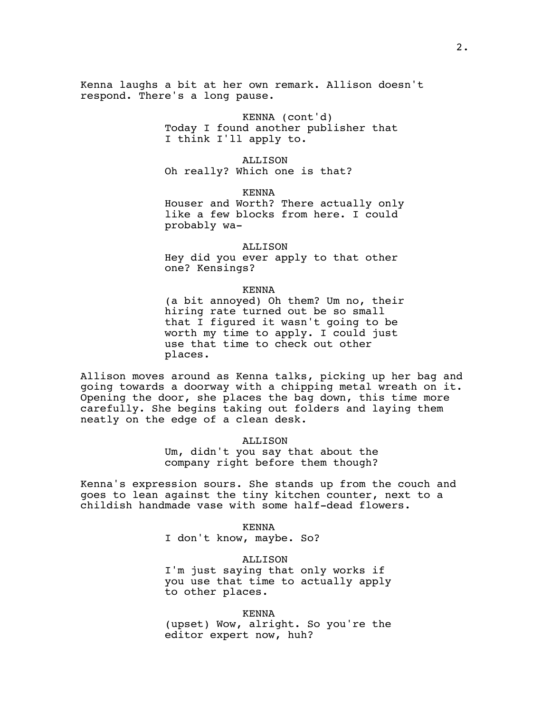Kenna laughs a bit at her own remark. Allison doesn't respond. There's a long pause.

> KENNA (cont'd) Today I found another publisher that I think I'll apply to.

ALLISON Oh really? Which one is that?

KENNA

Houser and Worth? There actually only like a few blocks from here. I could probably wa-

ALLISON

Hey did you ever apply to that other one? Kensings?

# KENNA

(a bit annoyed) Oh them? Um no, their hiring rate turned out be so small that I figured it wasn't going to be worth my time to apply. I could just use that time to check out other places.

Allison moves around as Kenna talks, picking up her bag and going towards a doorway with a chipping metal wreath on it. Opening the door, she places the bag down, this time more carefully. She begins taking out folders and laying them neatly on the edge of a clean desk.

## ALLISON

Um, didn't you say that about the company right before them though?

Kenna's expression sours. She stands up from the couch and goes to lean against the tiny kitchen counter, next to a childish handmade vase with some half-dead flowers.

KENNA

I don't know, maybe. So?

ALLISON

I'm just saying that only works if you use that time to actually apply to other places.

KENNA (upset) Wow, alright. So you're the editor expert now, huh?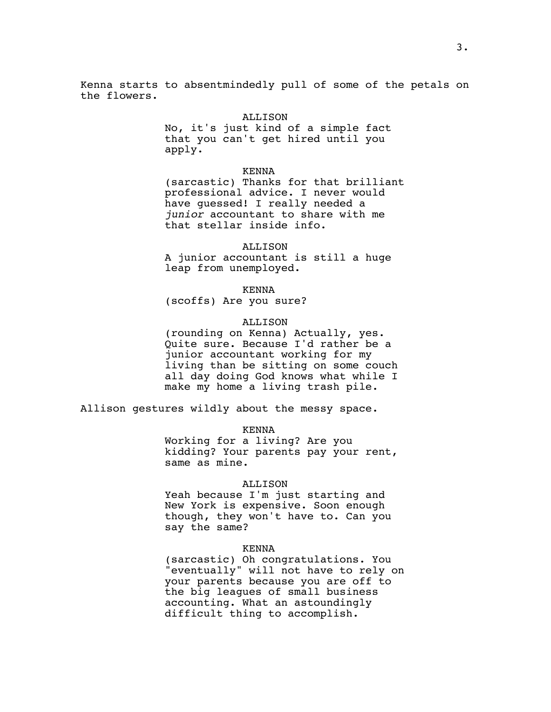Kenna starts to absentmindedly pull of some of the petals on the flowers.

## ALLISON

No, it's just kind of a simple fact that you can't get hired until you apply.

#### KENNA

(sarcastic) Thanks for that brilliant professional advice. I never would have guessed! I really needed a *junior* accountant to share with me that stellar inside info.

## ALLISON

A junior accountant is still a huge leap from unemployed.

KENNA

(scoffs) Are you sure?

### ALLISON

(rounding on Kenna) Actually, yes. Quite sure. Because I'd rather be a junior accountant working for my living than be sitting on some couch all day doing God knows what while I make my home a living trash pile.

Allison gestures wildly about the messy space.

#### KENNA

Working for a living? Are you kidding? Your parents pay your rent, same as mine.

## ALLISON

Yeah because I'm just starting and New York is expensive. Soon enough though, they won't have to. Can you say the same?

#### KENNA

(sarcastic) Oh congratulations. You "eventually" will not have to rely on your parents because you are off to the big leagues of small business accounting. What an astoundingly difficult thing to accomplish.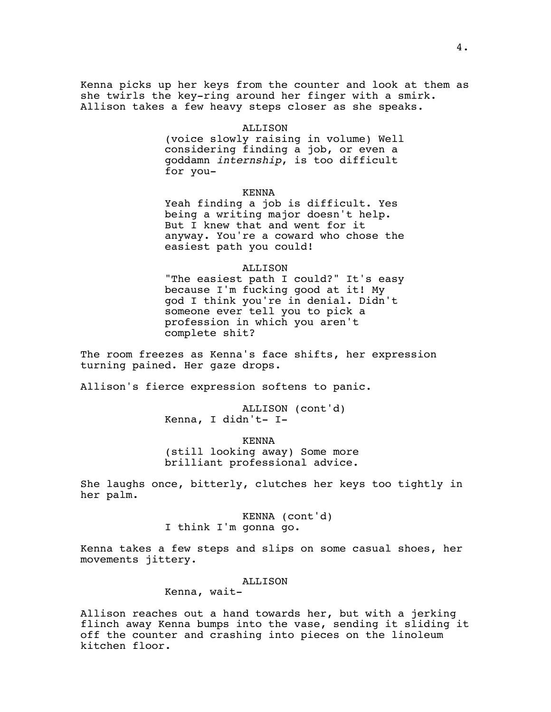Kenna picks up her keys from the counter and look at them as she twirls the key-ring around her finger with a smirk. Allison takes a few heavy steps closer as she speaks.

## ALLISON

(voice slowly raising in volume) Well considering finding a job, or even a goddamn *internship*, is too difficult for you-

### KENNA

Yeah finding a job is difficult. Yes being a writing major doesn't help. But I knew that and went for it anyway. You're a coward who chose the easiest path you could!

## ALLISON

"The easiest path I could?" It's easy because I'm fucking good at it! My god I think you're in denial. Didn't someone ever tell you to pick a profession in which you aren't complete shit?

The room freezes as Kenna's face shifts, her expression turning pained. Her gaze drops.

Allison's fierce expression softens to panic.

ALLISON (cont'd) Kenna, I didn't- I-

KENNA (still looking away) Some more brilliant professional advice.

She laughs once, bitterly, clutches her keys too tightly in her palm.

> KENNA (cont'd) I think I'm gonna go.

Kenna takes a few steps and slips on some casual shoes, her movements jittery.

## ALLISON

Kenna, wait-

Allison reaches out a hand towards her, but with a jerking flinch away Kenna bumps into the vase, sending it sliding it off the counter and crashing into pieces on the linoleum kitchen floor.